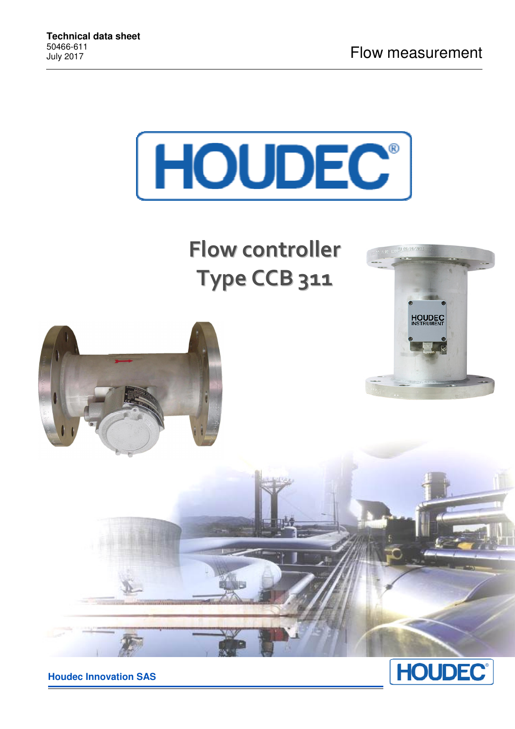

**Flow controller Type CCB 311**





**Houdec Innovation SAS**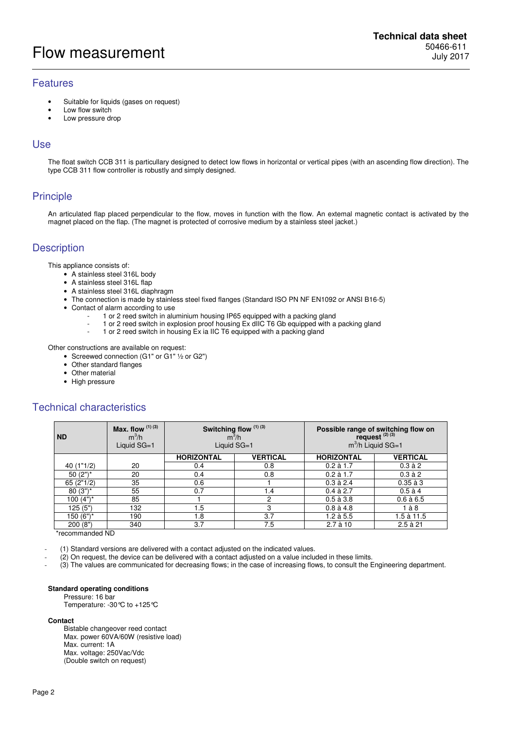# Flow measurement

### Features

- Suitable for liquids (gases on request)
- Low flow switch
- Low pressure drop

#### Use

The float switch CCB 311 is particullary designed to detect low flows in horizontal or vertical pipes (with an ascending flow direction). The type CCB 311 flow controller is robustly and simply designed.

## **Principle**

An articulated flap placed perpendicular to the flow, moves in function with the flow. An extemal magnetic contact is activated by the magnet placed on the flap. (The magnet is protected of corrosive medium by a stainless steel jacket.)

## **Description**

This appliance consists of:

- A stainless steel 316L body
- A stainless steel 316L flap
- A stainless steel 316L diaphragm
- The connection is made by stainless steel fixed flanges (Standard ISO PN NF EN1092 or ANSI B16-5)
- Contact of alarm according to use
	- 1 or 2 reed switch in aluminium housing IP65 equipped with a packing gland
	- 1 or 2 reed switch in explosion proof housing Ex dIIC T6 Gb equipped with a packing gland
	- 1 or 2 reed switch in housing Ex ia IIC T6 equipped with a packing gland

Other constructions are available on request:

- Screewed connection (G1" or G1" 1/2 or G2")
	- Other standard flanges
	- Other material
	- High pressure

# Technical characteristics

| <b>ND</b>   | <b>Max.</b> flow $(1)(3)$<br>$m^3/h$<br>Liquid SG=1 | $m^3/h$           | Switching flow (1) (3)<br>Liquid SG=1 | Possible range of switching flow on<br>request $(2)(3)$<br>$m^3/h$ Liquid SG=1 |                 |  |
|-------------|-----------------------------------------------------|-------------------|---------------------------------------|--------------------------------------------------------------------------------|-----------------|--|
|             |                                                     | <b>HORIZONTAL</b> | <b>VERTICAL</b>                       | <b>HORIZONTAL</b>                                                              | <b>VERTICAL</b> |  |
| 40 (1"1/2)  | 20                                                  | 0.4               | 0.8                                   | $0.2$ à 1.7                                                                    | $0.3$ à $2$     |  |
| 50 $(2")^*$ | 20                                                  | 0.4               | 0.8                                   | $0.2$ à 1.7                                                                    | $0.3$ à 2       |  |
| 65(2"1/2)   | 35                                                  | 0.6               |                                       | $0.3$ à 2.4                                                                    | $0.35$ à $3$    |  |
| $80(3")^*$  | 55                                                  | 0.7               | . .4                                  | $0.4$ à 2.7                                                                    | $0.5$ à 4       |  |
| $100(4")^*$ | 85                                                  |                   | ∩                                     | $0.5$ à $3.8$                                                                  | $0.6$ à $6.5$   |  |
| 125(5")     | 132                                                 | 1.5               | 3                                     | $0.8$ à 4.8                                                                    | là8             |  |
| 150 (6")*   | 190                                                 | 1.8               | 3.7                                   | $1.2$ à $5.5$                                                                  | 1.5 à 11.5      |  |
| 200(8")     | 340                                                 | 3.7               | 7.5                                   | $2.7$ à 10                                                                     | $2.5$ à $21$    |  |

\*recommanded ND

(1) Standard versions are delivered with a contact adjusted on the indicated values.

- (2) On request, the device can be delivered with a contact adjusted on a value included in these limits.

- (3) The values are communicated for decreasing flows; in the case of increasing flows, to consult the Engineering department.

#### **Standard operating conditions**

Pressure: 16 bar

Temperature: -30°C to +125°C

#### **Contact**

Bistable changeover reed contact Max. power 60VA/60W (resistive load) Max. current: 1A Max. voltage: 250Vac/Vdc (Double switch on request)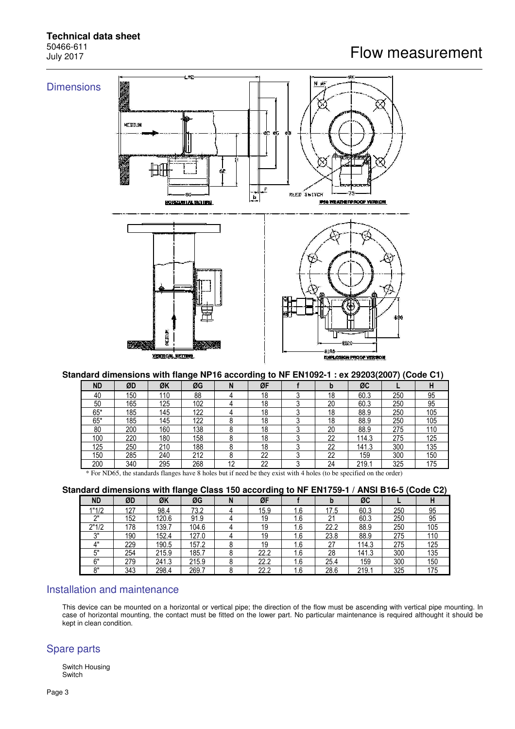# Flow measurement

# **Technical data sheet** 50466-611<br>July 2017



#### **Standard dimensions with flange NP16 according to NF EN1092-1 : ex 29203(2007) (Code C1)**

| <b>ND</b> | ØD  | ØK  | ØG  | N  | ØF |   | D  | ØC    |     | н   |
|-----------|-----|-----|-----|----|----|---|----|-------|-----|-----|
| 40        | 150 | 110 | 88  |    | 18 |   | 18 | 60.3  | 250 | 95  |
| 50        | 165 | 125 | 102 |    | 18 |   | 20 | 60.3  | 250 | 95  |
| $65*$     | 185 | 145 | 122 |    | 18 |   | 18 | 88.9  | 250 | 105 |
| $65*$     | 185 | 145 | 122 |    | 18 |   | 18 | 88.9  | 250 | 105 |
| 80        | 200 | 160 | 138 |    | 18 |   | 20 | 88.9  | 275 | 110 |
| 100       | 220 | 180 | 158 |    | 18 |   | 22 | 114.3 | 275 | 125 |
| 125       | 250 | 210 | 188 |    | 18 |   | 22 | 141.3 | 300 | 135 |
| 150       | 285 | 240 | 212 |    | 22 | ົ | 22 | 159   | 300 | 150 |
| 200       | 340 | 295 | 268 | 12 | 22 | ົ | 24 | 219.1 | 325 | 175 |

\* For ND65, the standards flanges have 8 holes but if need be they exist with 4 holes (to be specified on the order)

|  |  |  | Standard dimensions with flange Class 150 according to NF EN1759-1 / ANSI B16-5 (Code C2) |  |
|--|--|--|-------------------------------------------------------------------------------------------|--|
|  |  |  |                                                                                           |  |

| <b>ND</b>  | ØD  | ØK    | ØG    | N | ØF   |     | IJ         | ØC    |     | п   |
|------------|-----|-------|-------|---|------|-----|------------|-------|-----|-----|
| 1"1/2      | 127 | 98.4  | 73.2  |   | 15.9 | 1.6 | 17.5       | 60.3  | 250 | 95  |
| יוח        | 152 | 120.6 | 91.9  |   | 19   | 1.6 | $^{\circ}$ | 60.3  | 250 | 95  |
| 2"1/2      | 178 | 139.7 | 104.6 |   | 19   | 1.6 | 22.2       | 88.9  | 250 | 105 |
| ייכ        | 190 | 152.4 | 127.0 |   | 19   | 1.6 | 23.8       | 88.9  | 275 | 110 |
| ∕'         | 229 | 190.5 | 157.2 |   | 19   | 1.6 | 27         | 114.3 | 275 | 125 |
| г"         | 254 | 215.9 | 185.7 |   | 22.2 | 1.6 | 28         | 141.3 | 300 | 135 |
| 6"         | 279 | 241.3 | 215.9 |   | 22.2 | 1.6 | 25.4       | 159   | 300 | 150 |
| $^{\circ}$ | 343 | 298.4 | 269.7 |   | 22.2 | 1.6 | 28.6       | 219.1 | 325 | 175 |

### Installation and maintenance

This device can be mounted on a horizontal or vertical pipe; the direction of the flow must be ascending with vertical pipe mounting. In case of horizontal mounting, the contact must be fitted on the lower part. No particular maintenance is required althought it should be kept in clean condition.

### Spare parts

Switch Housing Switch